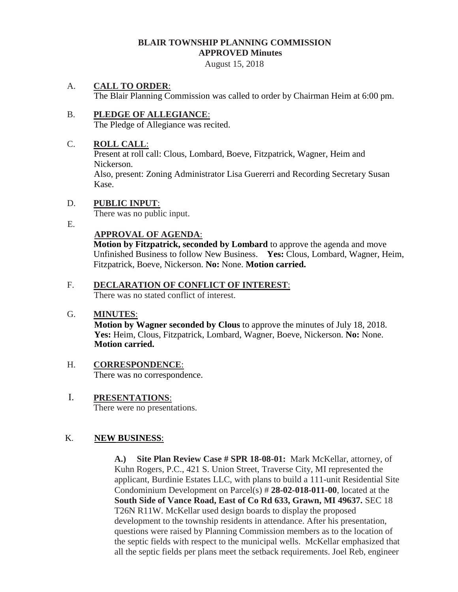# **BLAIR TOWNSHIP PLANNING COMMISSION APPROVED Minutes**

August 15, 2018

## A. **CALL TO ORDER**:

The Blair Planning Commission was called to order by Chairman Heim at 6:00 pm.

#### B. **PLEDGE OF ALLEGIANCE**: The Pledge of Allegiance was recited.

### C. **ROLL CALL**:

Present at roll call: Clous, Lombard, Boeve, Fitzpatrick, Wagner, Heim and Nickerson.

Also, present: Zoning Administrator Lisa Guererri and Recording Secretary Susan Kase.

## D. **PUBLIC INPUT**:

There was no public input.

E.

## **APPROVAL OF AGENDA**:

 **Motion by Fitzpatrick, seconded by Lombard** to approve the agenda and move Unfinished Business to follow New Business. **Yes:** Clous, Lombard, Wagner, Heim, Fitzpatrick, Boeve, Nickerson. **No:** None. **Motion carried.** 

## F. **DECLARATION OF CONFLICT OF INTEREST**:

There was no stated conflict of interest.

## G. **MINUTES**:

**Motion by Wagner seconded by Clous** to approve the minutes of July 18, 2018. **Yes:** Heim, Clous, Fitzpatrick, Lombard, Wagner, Boeve, Nickerson. **No:** None. **Motion carried.**

#### H. **CORRESPONDENCE**: There was no correspondence.

 I. **PRESENTATIONS**: There were no presentations.

## K. **NEW BUSINESS**:

**A.) Site Plan Review Case # SPR 18-08-01:** Mark McKellar, attorney, of Kuhn Rogers, P.C., 421 S. Union Street, Traverse City, MI represented the applicant, Burdinie Estates LLC, with plans to build a 111-unit Residential Site Condominium Development on Parcel(s) # **28-02-018-011-00**, located at the **South Side of Vance Road, East of Co Rd 633, Grawn, MI 49637.** SEC 18 T26N R11W. McKellar used design boards to display the proposed development to the township residents in attendance. After his presentation, questions were raised by Planning Commission members as to the location of the septic fields with respect to the municipal wells. McKellar emphasized that all the septic fields per plans meet the setback requirements. Joel Reb, engineer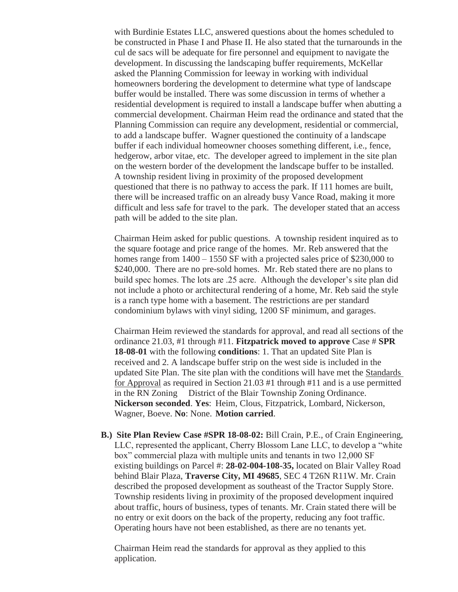with Burdinie Estates LLC, answered questions about the homes scheduled to be constructed in Phase I and Phase II. He also stated that the turnarounds in the cul de sacs will be adequate for fire personnel and equipment to navigate the development. In discussing the landscaping buffer requirements, McKellar asked the Planning Commission for leeway in working with individual homeowners bordering the development to determine what type of landscape buffer would be installed. There was some discussion in terms of whether a residential development is required to install a landscape buffer when abutting a commercial development. Chairman Heim read the ordinance and stated that the Planning Commission can require any development, residential or commercial, to add a landscape buffer. Wagner questioned the continuity of a landscape buffer if each individual homeowner chooses something different, i.e., fence, hedgerow, arbor vitae, etc. The developer agreed to implement in the site plan on the western border of the development the landscape buffer to be installed. A township resident living in proximity of the proposed development questioned that there is no pathway to access the park. If 111 homes are built, there will be increased traffic on an already busy Vance Road, making it more difficult and less safe for travel to the park. The developer stated that an access path will be added to the site plan.

Chairman Heim asked for public questions. A township resident inquired as to the square footage and price range of the homes. Mr. Reb answered that the homes range from  $1400 - 1550$  SF with a projected sales price of \$230,000 to \$240,000. There are no pre-sold homes. Mr. Reb stated there are no plans to build spec homes. The lots are .25 acre. Although the developer's site plan did not include a photo or architectural rendering of a home, Mr. Reb said the style is a ranch type home with a basement. The restrictions are per standard condominium bylaws with vinyl siding, 1200 SF minimum, and garages.

Chairman Heim reviewed the standards for approval, and read all sections of the ordinance 21.03, #1 through #11. **Fitzpatrick moved to approve** Case # **SPR 18-08-01** with the following **conditions**: 1. That an updated Site Plan is received and 2. A landscape buffer strip on the west side is included in the updated Site Plan. The site plan with the conditions will have met the Standards for Approval as required in Section 21.03 #1 through #11 and is a use permitted in the RN Zoning District of the Blair Township Zoning Ordinance. **Nickerson seconded**. **Yes**: Heim, Clous, Fitzpatrick, Lombard, Nickerson, Wagner, Boeve. **No**: None. **Motion carried**.

**B.) Site Plan Review Case #SPR 18-08-02:** Bill Crain, P.E., of Crain Engineering, LLC, represented the applicant, Cherry Blossom Lane LLC, to develop a "white box" commercial plaza with multiple units and tenants in two 12,000 SF existing buildings on Parcel #: **28-02-004-108-35,** located on Blair Valley Road behind Blair Plaza, **Traverse City, MI 49685**, SEC 4 T26N R11W. Mr. Crain described the proposed development as southeast of the Tractor Supply Store. Township residents living in proximity of the proposed development inquired about traffic, hours of business, types of tenants. Mr. Crain stated there will be no entry or exit doors on the back of the property, reducing any foot traffic. Operating hours have not been established, as there are no tenants yet.

Chairman Heim read the standards for approval as they applied to this application.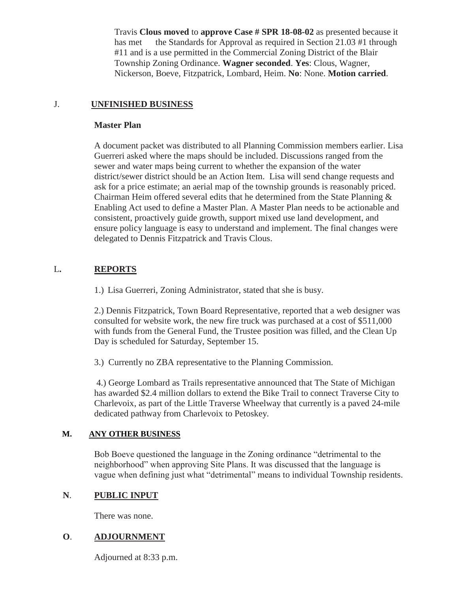Travis **Clous moved** to **approve Case # SPR 18-08-02** as presented because it has met the Standards for Approval as required in Section 21.03 #1 through #11 and is a use permitted in the Commercial Zoning District of the Blair Township Zoning Ordinance. **Wagner seconded**. **Yes**: Clous, Wagner, Nickerson, Boeve, Fitzpatrick, Lombard, Heim. **No**: None. **Motion carried**.

## J. **UNFINISHED BUSINESS**

## **Master Plan**

A document packet was distributed to all Planning Commission members earlier. Lisa Guerreri asked where the maps should be included. Discussions ranged from the sewer and water maps being current to whether the expansion of the water district/sewer district should be an Action Item. Lisa will send change requests and ask for a price estimate; an aerial map of the township grounds is reasonably priced. Chairman Heim offered several edits that he determined from the State Planning & Enabling Act used to define a Master Plan. A Master Plan needs to be actionable and consistent, proactively guide growth, support mixed use land development, and ensure policy language is easy to understand and implement. The final changes were delegated to Dennis Fitzpatrick and Travis Clous.

# L**. REPORTS**

1.) Lisa Guerreri, Zoning Administrator, stated that she is busy.

 2.) Dennis Fitzpatrick, Town Board Representative, reported that a web designer was consulted for website work, the new fire truck was purchased at a cost of \$511,000 with funds from the General Fund, the Trustee position was filled, and the Clean Up Day is scheduled for Saturday, September 15.

3.) Currently no ZBA representative to the Planning Commission.

4.) George Lombard as Trails representative announced that The State of Michigan has awarded \$2.4 million dollars to extend the Bike Trail to connect Traverse City to Charlevoix, as part of the Little Traverse Wheelway that currently is a paved 24-mile dedicated pathway from Charlevoix to Petoskey.

# **M. ANY OTHER BUSINESS**

Bob Boeve questioned the language in the Zoning ordinance "detrimental to the neighborhood" when approving Site Plans. It was discussed that the language is vague when defining just what "detrimental" means to individual Township residents.

# **N**. **PUBLIC INPUT**

There was none.

# **O**. **ADJOURNMENT**

Adjourned at 8:33 p.m.